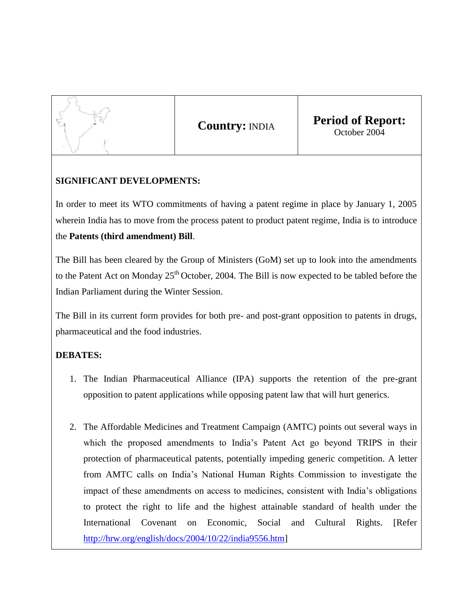

**Country:** INDIA **Period of Report:** October 2004

## **SIGNIFICANT DEVELOPMENTS:**

In order to meet its WTO commitments of having a patent regime in place by January 1, 2005 wherein India has to move from the process patent to product patent regime, India is to introduce the **Patents (third amendment) Bill**.

The Bill has been cleared by the Group of Ministers (GoM) set up to look into the amendments to the Patent Act on Monday 25<sup>th</sup> October, 2004. The Bill is now expected to be tabled before the Indian Parliament during the Winter Session.

The Bill in its current form provides for both pre- and post-grant opposition to patents in drugs, pharmaceutical and the food industries.

## **DEBATES:**

- 1. The Indian Pharmaceutical Alliance (IPA) supports the retention of the pre-grant opposition to patent applications while opposing patent law that will hurt generics.
- 2. The Affordable Medicines and Treatment Campaign (AMTC) points out several ways in which the proposed amendments to India's Patent Act go beyond TRIPS in their protection of pharmaceutical patents, potentially impeding generic competition. A letter from AMTC calls on India's National Human Rights Commission to investigate the impact of these amendments on access to medicines, consistent with India's obligations to protect the right to life and the highest attainable standard of health under the International Covenant on Economic, Social and Cultural Rights. [Refer [http://hrw.org/english/docs/2004/10/22/india9556.htm\]](http://hrw.org/english/docs/2004/10/22/india9556.htm)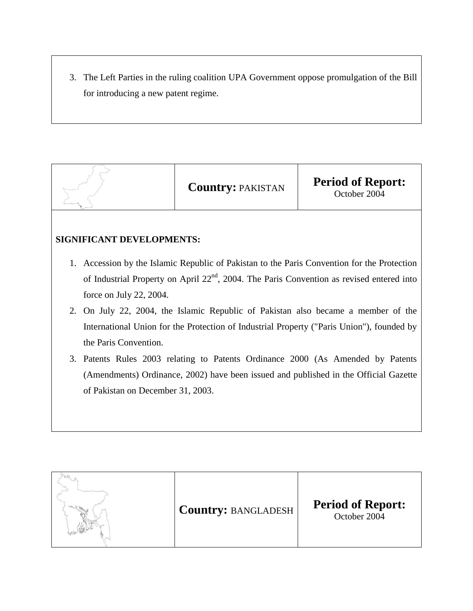3. The Left Parties in the ruling coalition UPA Government oppose promulgation of the Bill for introducing a new patent regime.



## **SIGNIFICANT DEVELOPMENTS:**

- 1. Accession by the Islamic Republic of Pakistan to the Paris Convention for the Protection of Industrial Property on April 22<sup>nd</sup>, 2004. The Paris Convention as revised entered into force on July 22, 2004.
- 2. On July 22, 2004, the Islamic Republic of Pakistan also became a member of the International Union for the Protection of Industrial Property ("Paris Union"), founded by the Paris Convention.
- 3. Patents Rules 2003 relating to Patents Ordinance 2000 (As Amended by Patents (Amendments) Ordinance, 2002) have been issued and published in the Official Gazette of Pakistan on December 31, 2003.